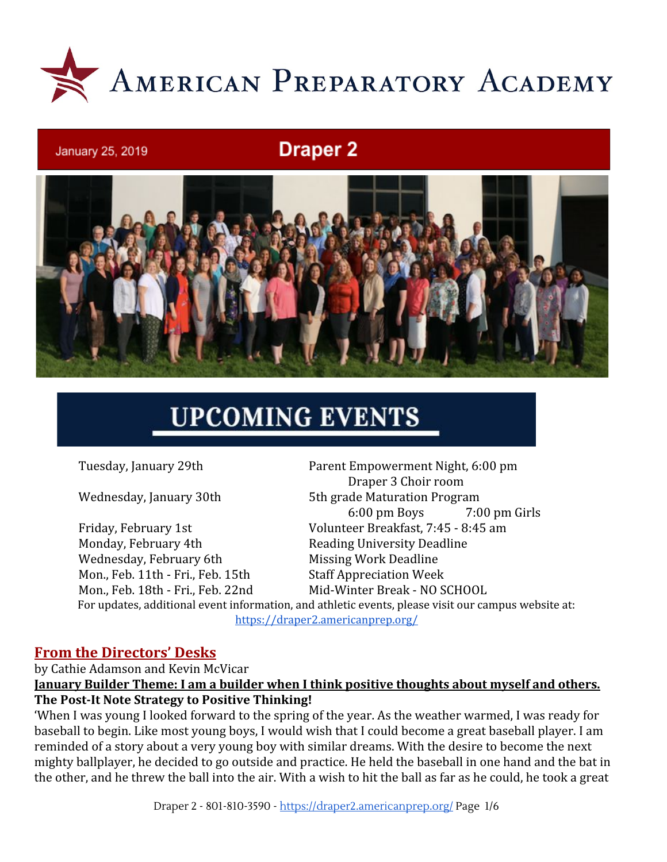

# **Draper 2**



# **UPCOMING EVENTS**

January 25, 2019

Monday, February 4th Reading University Deadline Wednesday, February 6th Missing Work Deadline Mon., Feb. 11th - Fri., Feb. 15th Staff Appreciation Week

Tuesday, January 29th Parent Empowerment Night, 6:00 pm Draper 3 Choir room Wednesday, January 30th 5th grade Maturation Program 6:00 pm Boys 7:00 pm Girls Friday, February 1st Volunteer Breakfast, 7:45 - 8:45 am Mon., Feb. 18th - Fri., Feb. 22nd Mid-Winter Break - NO SCHOOL

For updates, additional event information, and athletic events, please visit our campus website at: <https://draper2.americanprep.org/>

#### **From the Directors' Desks**

by Cathie Adamson and Kevin McVicar **January Builder Theme: I am a builder when I think positive thoughts about myself and others. The Post-It Note Strategy to Positive Thinking!**

'When I was young I looked forward to the spring of the year. As the weather warmed, I was ready for baseball to begin. Like most young boys, I would wish that I could become a great baseball player. I am reminded of a story about a very young boy with similar dreams. With the desire to become the next mighty ballplayer, he decided to go outside and practice. He held the baseball in one hand and the bat in the other, and he threw the ball into the air. With a wish to hit the ball as far as he could, he took a great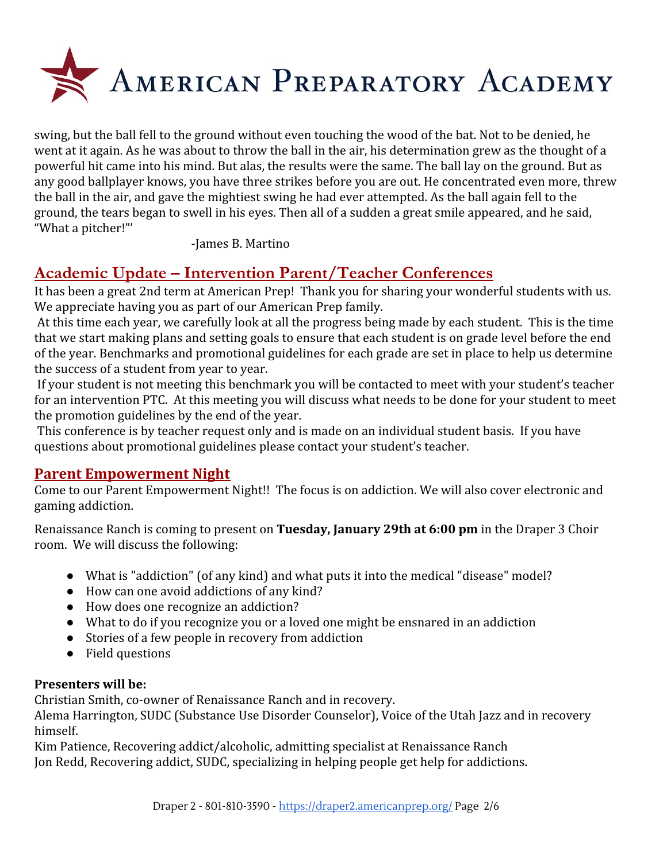

swing, but the ball fell to the ground without even touching the wood of the bat. Not to be denied, he went at it again. As he was about to throw the ball in the air, his determination grew as the thought of a powerful hit came into his mind. But alas, the results were the same. The ball lay on the ground. But as any good ballplayer knows, you have three strikes before you are out. He concentrated even more, threw the ball in the air, and gave the mightiest swing he had ever attempted. As the ball again fell to the ground, the tears began to swell in his eyes. Then all of a sudden a great smile appeared, and he said, "What a pitcher!"'

-James B. Martino

# **Academic Update – Intervention Parent/Teacher Conferences**

It has been a great 2nd term at American Prep! Thank you for sharing your wonderful students with us. We appreciate having you as part of our American Prep family.

 At this time each year, we carefully look at all the progress being made by each student. This is the time that we start making plans and setting goals to ensure that each student is on grade level before the end of the year. Benchmarks and promotional guidelines for each grade are set in place to help us determine the success of a student from year to year.

 If your student is not meeting this benchmark you will be contacted to meet with your student's teacher for an intervention PTC. At this meeting you will discuss what needs to be done for your student to meet the promotion guidelines by the end of the year.

 This conference is by teacher request only and is made on an individual student basis. If you have questions about promotional guidelines please contact your student's teacher.

## **Parent Empowerment Night**

Come to our Parent Empowerment Night!! The focus is on addiction. We will also cover electronic and gaming addiction.

Renaissance Ranch is coming to present on **Tuesday, January 29th at 6:00 pm** in the Draper 3 Choir room. We will discuss the following:

- What is "addiction" (of any kind) and what puts it into the medical "disease" model?
- How can one avoid addictions of any kind?
- How does one recognize an addiction?
- What to do if you recognize you or a loved one might be ensnared in an addiction
- Stories of a few people in recovery from addiction
- Field questions

#### **Presenters will be:**

Christian Smith, co-owner of Renaissance Ranch and in recovery.

Alema Harrington, SUDC (Substance Use Disorder Counselor), Voice of the Utah Jazz and in recovery himself.

Kim Patience, Recovering addict/alcoholic, admitting specialist at Renaissance Ranch Jon Redd, Recovering addict, SUDC, specializing in helping people get help for addictions.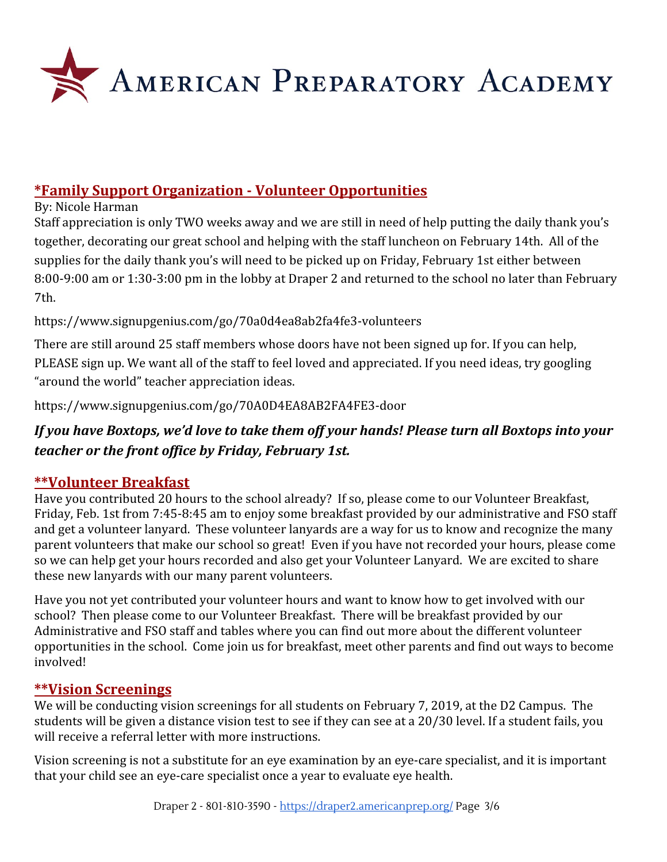

# **\*Family Support Organization - Volunteer Opportunities**

By: Nicole Harman

Staff appreciation is only TWO weeks away and we are still in need of help putting the daily thank you's together, decorating our great school and helping with the staff luncheon on February 14th. All of the supplies for the daily thank you's will need to be picked up on Friday, February 1st either between 8:00-9:00 am or 1:30-3:00 pm in the lobby at Draper 2 and returned to the school no later than February 7th.

## <https://www.signupgenius.com/go/70a0d4ea8ab2fa4fe3-volunteers>

There are still around 25 staff members whose doors have not been signed up for. If you can help, PLEASE sign up. We want all of the staff to feel loved and appreciated. If you need ideas, try googling "around the world" teacher appreciation ideas.

<https://www.signupgenius.com/go/70A0D4EA8AB2FA4FE3-door>

# *If you have Boxtops, we'd love to take them off your hands! Please turn all Boxtops into your teacher or the front office by Friday, February 1st.*

# **\*\*Volunteer Breakfast**

Have you contributed 20 hours to the school already? If so, please come to our Volunteer Breakfast, Friday, Feb. 1st from 7:45-8:45 am to enjoy some breakfast provided by our administrative and FSO staff and get a volunteer lanyard. These volunteer lanyards are a way for us to know and recognize the many parent volunteers that make our school so great! Even if you have not recorded your hours, please come so we can help get your hours recorded and also get your Volunteer Lanyard. We are excited to share these new lanyards with our many parent volunteers.

Have you not yet contributed your volunteer hours and want to know how to get involved with our school? Then please come to our Volunteer Breakfast. There will be breakfast provided by our Administrative and FSO staff and tables where you can find out more about the different volunteer opportunities in the school. Come join us for breakfast, meet other parents and find out ways to become involved!

# **\*\*Vision Screenings**

We will be conducting vision screenings for all students on February 7, 2019, at the D2 Campus. The students will be given a distance vision test to see if they can see at a 20/30 level. If a student fails, you will receive a referral letter with more instructions.

Vision screening is not a substitute for an eye examination by an eye-care specialist, and it is important that your child see an eye-care specialist once a year to evaluate eye health.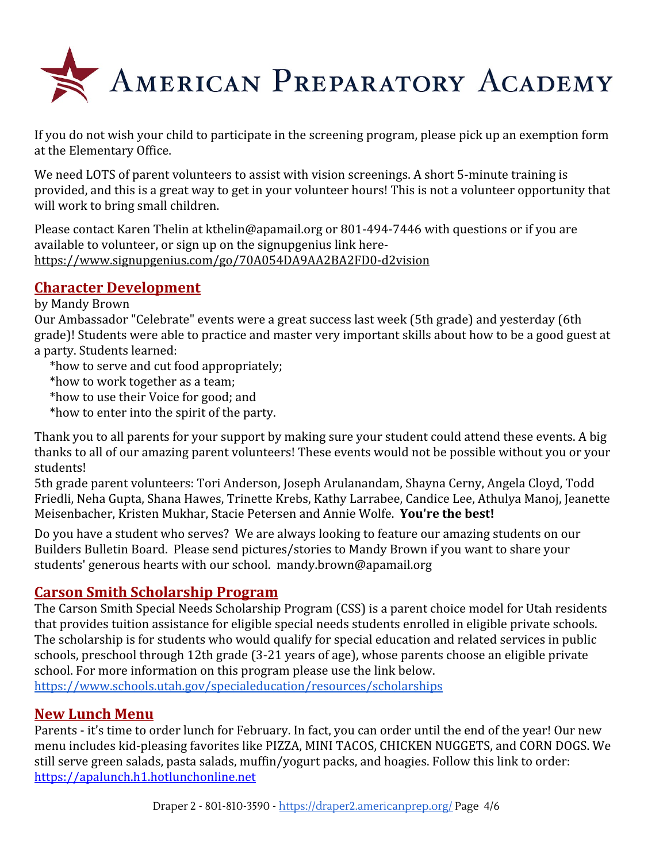

If you do not wish your child to participate in the screening program, please pick up an exemption form at the Elementary Office.

We need LOTS of parent volunteers to assist with vision screenings. A short 5-minute training is provided, and this is a great way to get in your volunteer hours! This is not a volunteer opportunity that will work to bring small children.

Please contact Karen Thelin at kthelin@apamail.org or 801-494-7446 with questions or if you are available to volunteer, or sign up on the signupgenius link here<https://www.signupgenius.com/go/70A054DA9AA2BA2FD0-d2vision>

# **Character Development**

#### by Mandy Brown

Our Ambassador "Celebrate" events were a great success last week (5th grade) and yesterday (6th grade)! Students were able to practice and master very important skills about how to be a good guest at a party. Students learned:

- \*how to serve and cut food appropriately;
- \*how to work together as a team;
- \*how to use their Voice for good; and
- \*how to enter into the spirit of the party.

Thank you to all parents for your support by making sure your student could attend these events. A big thanks to all of our amazing parent volunteers! These events would not be possible without you or your students!

5th grade parent volunteers: Tori Anderson, Joseph Arulanandam, Shayna Cerny, Angela Cloyd, Todd Friedli, Neha Gupta, Shana Hawes, Trinette Krebs, Kathy Larrabee, Candice Lee, Athulya Manoj, Jeanette Meisenbacher, Kristen Mukhar, Stacie Petersen and Annie Wolfe. **You're the best!**

Do you have a student who serves? We are always looking to feature our amazing students on our Builders Bulletin Board. Please send pictures/stories to Mandy Brown if you want to share your students' generous hearts with our school. mandy.brown@apamail.org

## **Carson Smith Scholarship Program**

The Carson Smith Special Needs Scholarship Program (CSS) is a parent choice model for Utah residents that provides tuition assistance for eligible special needs students enrolled in eligible private schools. The scholarship is for students who would qualify for special education and related services in public schools, preschool through 12th grade (3-21 years of age), whose parents choose an eligible private school. For more information on this program please use the link below. <https://www.schools.utah.gov/specialeducation/resources/scholarships>

# **New Lunch Menu**

Parents - it's time to order lunch for February. In fact, you can order until the end of the year! Our new menu includes kid-pleasing favorites like PIZZA, MINI TACOS, CHICKEN NUGGETS, and CORN DOGS. We still serve green salads, pasta salads, muffin/yogurt packs, and hoagies. Follow this link to order: [https://apalunch.h1.hotlunchonline.net](https://apalunch.h1.hotlunchonline.net/)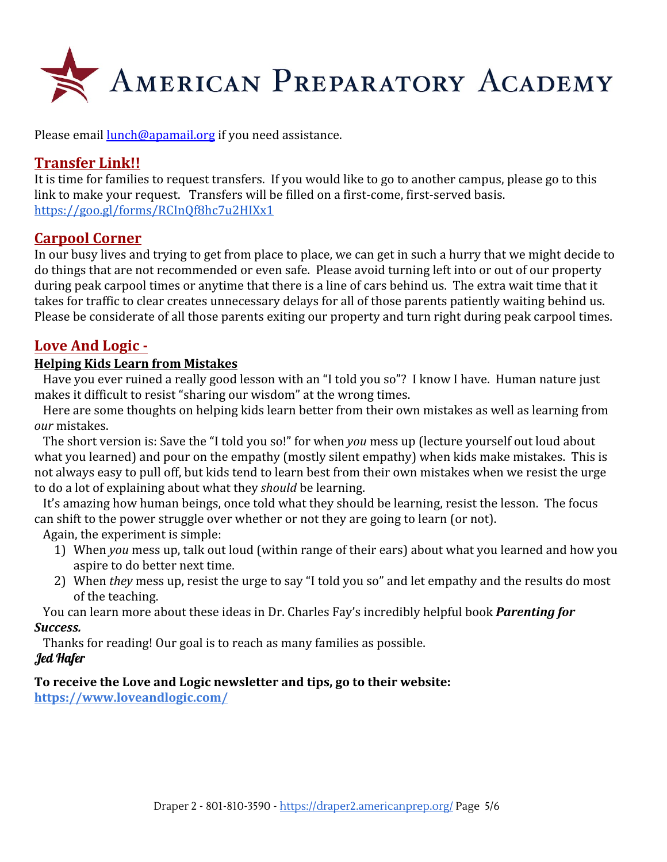

Please email [lunch@apamail.org](mailto:lunch@apamail.org) if you need assistance.

# **Transfer Link!!**

It is time for families to request transfers. If you would like to go to another campus, please go to this link to make your request. Transfers will be filled on a first-come, first-served basis. <https://goo.gl/forms/RCInQf8hc7u2HIXx1>

#### **Carpool Corner**

In our busy lives and trying to get from place to place, we can get in such a hurry that we might decide to do things that are not recommended or even safe. Please avoid turning left into or out of our property during peak carpool times or anytime that there is a line of cars behind us. The extra wait time that it takes for traffic to clear creates unnecessary delays for all of those parents patiently waiting behind us. Please be considerate of all those parents exiting our property and turn right during peak carpool times.

## **Love And Logic -**

#### **Helping Kids Learn from Mistakes**

 Have you ever ruined a really good lesson with an "I told you so"? I know I have. Human nature just makes it difficult to resist "sharing our wisdom" at the wrong times.

 Here are some thoughts on helping kids learn better from their own mistakes as well as learning from *our* mistakes.

 The short version is: Save the "I told you so!" for when *you* mess up (lecture yourself out loud about what you learned) and pour on the empathy (mostly silent empathy) when kids make mistakes. This is not always easy to pull off, but kids tend to learn best from their own mistakes when we resist the urge to do a lot of explaining about what they *should* be learning.

 It's amazing how human beings, once told what they should be learning, resist the lesson. The focus can shift to the power struggle over whether or not they are going to learn (or not).

Again, the experiment is simple:

- 1) When *you* mess up, talk out loud (within range of their ears) about what you learned and how you aspire to do better next time.
- 2) When *they* mess up, resist the urge to say "I told you so" and let empathy and the results do most of the teaching.

 You can learn more about these ideas in Dr. Charles Fay's incredibly helpful book *Parenting for Success.*

Thanks for reading! Our goal is to reach as many families as possible. Jed Hafer

#### **To receive the Love and Logic newsletter and tips, go to their website:**

**<https://www.loveandlogic.com/>**